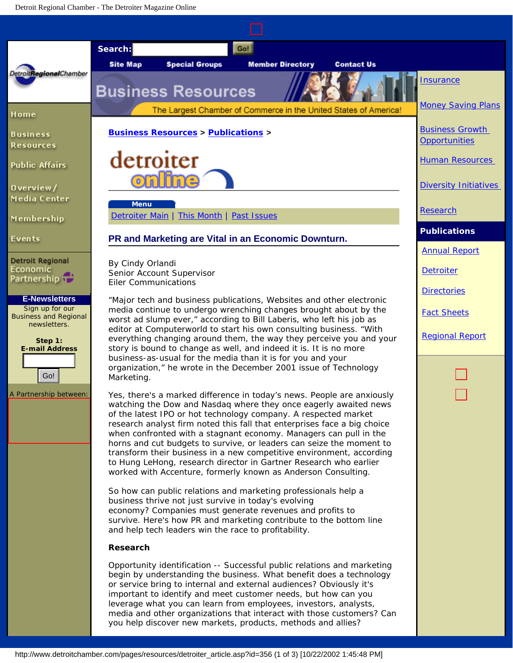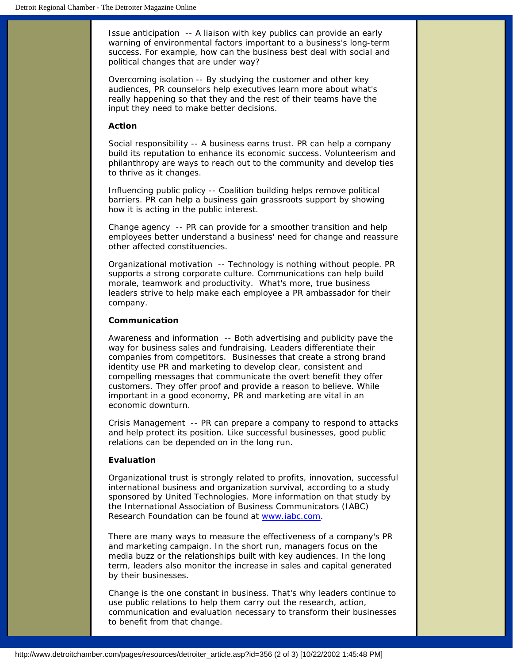*Issue anticipation* -- A liaison with key publics can provide an early warning of environmental factors important to a business's long-term success. For example, how can the business best deal with social and political changes that are under way?

*Overcoming isolation* -- By studying the customer and other key audiences, PR counselors help executives learn more about what's really happening so that they and the rest of their teams have the input they need to make better decisions.

## **Action**

*Social responsibility* -- A business earns trust. PR can help a company build its reputation to enhance its economic success. Volunteerism and philanthropy are ways to reach out to the community and develop ties to thrive as it changes.

*Influencing public policy* -- Coalition building helps remove political barriers. PR can help a business gain grassroots support by showing how it is acting in the public interest.

*Change agency* -- PR can provide for a smoother transition and help employees better understand a business' need for change and reassure other affected constituencies.

*Organizational motivation* -- Technology is nothing without people. PR supports a strong corporate culture. Communications can help build morale, teamwork and productivity. What's more, true business leaders strive to help make each employee a PR ambassador for their company.

## **Communication**

*Awareness and information* -- Both advertising and publicity pave the way for business sales and fundraising. Leaders differentiate their companies from competitors. Businesses that create a strong brand identity use PR and marketing to develop clear, consistent and compelling messages that communicate the overt benefit they offer customers. They offer proof and provide a reason to believe. While important in a good economy, PR and marketing are vital in an economic downturn.

*Crisis Management* -- PR can prepare a company to respond to attacks and help protect its position. Like successful businesses, good public relations can be depended on in the long run.

## **Evaluation**

Organizational trust is strongly related to profits, innovation, successful international business and organization survival, according to a study sponsored by United Technologies. More information on that study by the International Association of Business Communicators (IABC) Research Foundation can be found at [www.iabc.com.](http://www.iabc.com/)

There are many ways to measure the effectiveness of a company's PR and marketing campaign. In the short run, managers focus on the media buzz or the relationships built with key audiences. In the long term, leaders also monitor the increase in sales and capital generated by their businesses.

Change is the one constant in business. That's why leaders continue to use public relations to help them carry out the research, action, communication and evaluation necessary to transform their businesses to benefit from that change.